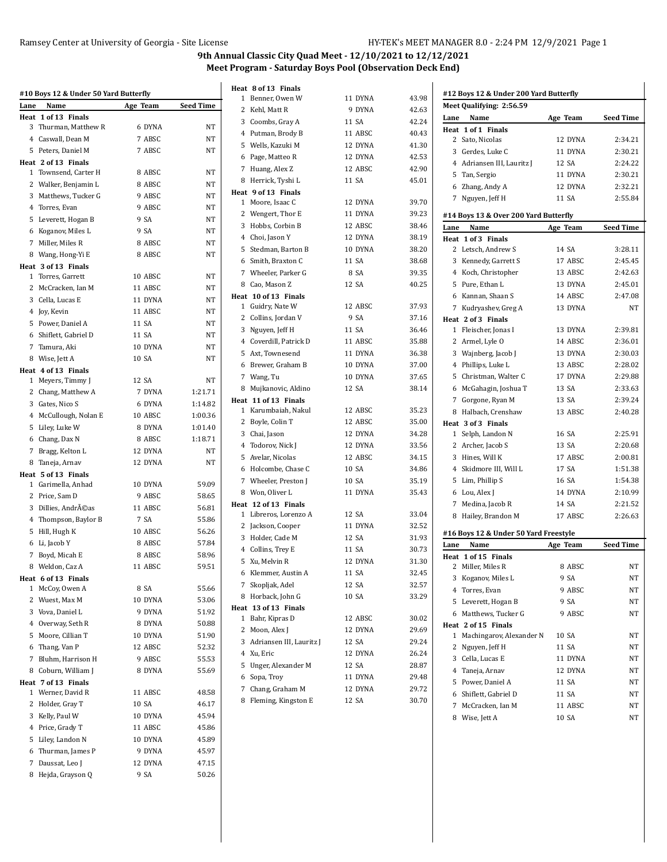|      | #10 Boys 12 & Under 50 Yard Butterfly |          |                  | Heat 8 of 13 Finals                           |                |                |      | #12 Boys 12 & Under 200 Yard Butterfly |          |                  |
|------|---------------------------------------|----------|------------------|-----------------------------------------------|----------------|----------------|------|----------------------------------------|----------|------------------|
| Lane | Name                                  | Age Team | <b>Seed Time</b> | 1 Benner, Owen W                              | 11 DYNA        | 43.98          |      | Meet Qualifying: 2:56.59               |          |                  |
|      | Heat 1 of 13 Finals                   |          |                  | 2 Kehl, Matt R                                | 9 DYNA         | 42.63          |      | Lane Name                              | Age Team | <b>Seed Time</b> |
|      | 3 Thurman, Matthew R                  | 6 DYNA   | NT               | 3 Coombs, Gray A                              | 11 SA          | 42.24          |      | Heat 1 of 1 Finals                     |          |                  |
|      | 4 Caswall, Dean M                     | 7 ABSC   | NT               | 4 Putman, Brody B                             | 11 ABSC        | 40.43          |      | 2 Sato, Nicolas                        | 12 DYNA  | 2:34.21          |
|      | 5 Peters, Daniel M                    | 7 ABSC   | NT               | 5 Wells, Kazuki M                             | 12 DYNA        | 41.30          |      | 3 Gerdes, Luke C                       | 11 DYNA  | 2:30.21          |
|      | Heat 2 of 13 Finals                   |          |                  | 6 Page, Matteo R                              | 12 DYNA        | 42.53          |      | 4 Adriansen III, Lauritz J             | 12 SA    | 2:24.22          |
|      | 1 Townsend, Carter H                  | 8 ABSC   | NT               | 7 Huang, Alex Z                               | 12 ABSC        | 42.90          |      | 5 Tan, Sergio                          | 11 DYNA  | 2:30.21          |
|      | 2 Walker, Benjamin L                  | 8 ABSC   | NT               | 8 Herrick, Tyshi L                            | 11 SA          | 45.01          |      | 6 Zhang, Andy A                        | 12 DYNA  | 2:32.21          |
|      | 3 Matthews, Tucker G                  | 9 ABSC   | <b>NT</b>        | Heat 9 of 13 Finals                           |                |                |      | 7 Nguyen, Jeff H                       | 11 SA    | 2:55.84          |
|      | 4 Torres, Evan                        | 9 ABSC   | NT               | 1 Moore, Isaac C                              | 12 DYNA        | 39.70          |      |                                        |          |                  |
|      | 5 Leverett, Hogan B                   | 9 SA     | NT               | 2 Wengert, Thor E                             | 11 DYNA        | 39.23          |      | #14 Boys 13 & Over 200 Yard Butterfly  |          |                  |
|      | 6 Koganov, Miles L                    | 9 SA     | NT               | 3 Hobbs, Corbin B                             | 12 ABSC        | 38.46          | Lane | Name                                   | Age Team | <b>Seed Time</b> |
|      | 7 Miller, Miles R                     | 8 ABSC   | NT               | 4 Choi, Jason Y                               | 12 DYNA        | 38.19          |      | Heat 1 of 3 Finals                     |          |                  |
|      | 8 Wang, Hong-Yi E                     | 8 ABSC   | <b>NT</b>        | 5 Stedman, Barton B                           | 10 DYNA        | 38.20          |      | 2 Letsch, Andrew S                     | 14 SA    | 3:28.11          |
|      | Heat 3 of 13 Finals                   |          |                  | 6 Smith, Braxton C                            | 11 SA          | 38.68          |      | 3 Kennedy, Garrett S                   | 17 ABSC  | 2:45.45          |
|      | 1 Torres, Garrett                     | 10 ABSC  | NT               | 7 Wheeler, Parker G                           | 8 SA           | 39.35          |      | 4 Koch, Christopher                    | 13 ABSC  | 2:42.63          |
|      | 2 McCracken, Ian M                    | 11 ABSC  | NT               | 8 Cao, Mason Z                                | 12 SA          | 40.25          |      | 5 Pure, Ethan L                        | 13 DYNA  | 2:45.01          |
|      | 3 Cella, Lucas E                      | 11 DYNA  | <b>NT</b>        | Heat 10 of 13 Finals                          |                |                |      | 6 Kannan, Shaan S                      | 14 ABSC  | 2:47.08          |
|      | 4 Joy, Kevin                          | 11 ABSC  | <b>NT</b>        | 1 Guidry, Nate W                              | 12 ABSC        | 37.93          |      | 7 Kudryashev, Greg A                   | 13 DYNA  | <b>NT</b>        |
|      | 5 Power, Daniel A                     | 11 SA    | <b>NT</b>        | 2 Collins, Jordan V                           | 9 SA           | 37.16          |      | Heat 2 of 3 Finals                     |          |                  |
|      | 6 Shiflett, Gabriel D                 | 11 SA    | NT               | 3 Nguyen, Jeff H                              | 11 SA          | 36.46          |      | 1 Fleischer, Jonas I                   | 13 DYNA  | 2:39.81          |
|      | 7 Tamura, Aki                         | 10 DYNA  | NT               | 4 Coverdill, Patrick D                        | 11 ABSC        | 35.88          |      | 2 Armel, Lyle O                        | 14 ABSC  | 2:36.01          |
|      | 8 Wise, Jett A                        | 10 SA    | <b>NT</b>        | 5 Axt, Townesend                              | 11 DYNA        | 36.38          |      | 3 Wajnberg, Jacob J                    | 13 DYNA  | 2:30.03          |
|      | Heat 4 of 13 Finals                   |          |                  | 6 Brewer, Graham B                            | 10 DYNA        | 37.00          |      | 4 Phillips, Luke L                     | 13 ABSC  | 2:28.02          |
|      | 1 Meyers, Timmy J                     | 12 SA    | NT               | 7 Wang, Tu                                    | 10 DYNA        | 37.65          |      | 5 Christman, Walter C                  | 17 DYNA  | 2:29.88          |
|      | 2 Chang, Matthew A                    | 7 DYNA   | 1:21.71          | 8 Mujkanovic, Aldino                          | 12 SA          | 38.14          |      | 6 McGahagin, Joshua T                  | 13 SA    | 2:33.63          |
|      | 3 Gates, Nico S                       | 6 DYNA   | 1:14.82          | Heat 11 of 13 Finals                          |                |                |      | 7 Gorgone, Ryan M                      | 13 SA    | 2:39.24          |
|      | 4 McCullough, Nolan E                 | 10 ABSC  | 1:00.36          | 1 Karumbaiah, Nakul                           | 12 ABSC        | 35.23          |      | 8 Halbach, Crenshaw                    | 13 ABSC  | 2:40.28          |
|      | 5 Liley, Luke W                       | 8 DYNA   | 1:01.40          | 2 Boyle, Colin T                              | 12 ABSC        | 35.00          |      | Heat 3 of 3 Finals                     |          |                  |
|      | 6 Chang, Dax N                        | 8 ABSC   | 1:18.71          | 3 Chai, Jason                                 | 12 DYNA        | 34.28          |      | 1 Selph, Landon N                      | 16 SA    | 2:25.91          |
|      | 7 Bragg, Kelton L                     | 12 DYNA  | NT               | 4 Todorov, Nick J                             | 12 DYNA        | 33.56          |      | 2 Archer, Jacob S                      | 13 SA    | 2:20.68          |
|      | 8 Taneja, Arnav                       | 12 DYNA  | NT               | 5 Avelar, Nicolas                             | 12 ABSC        | 34.15          |      | 3 Hines, Will K                        | 17 ABSC  | 2:00.81          |
|      | Heat 5 of 13 Finals                   |          |                  | 6 Holcombe, Chase C                           | 10 SA          | 34.86          |      | 4 Skidmore III, Will L                 | 17 SA    | 1:51.38          |
|      | 1 Garimella, Anhad                    | 10 DYNA  | 59.09            | 7 Wheeler, Preston J                          | 10 SA          | 35.19          |      | 5 Lim, Phillip S                       | 16 SA    | 1:54.38          |
|      | 2 Price, Sam D                        | 9 ABSC   | 58.65            | 8 Won, Oliver L                               | 11 DYNA        | 35.43          |      | 6 Lou, Alex J                          | 14 DYNA  | 2:10.99          |
|      | 3 Dillies, Andréas                    | 11 ABSC  | 56.81            | Heat 12 of 13 Finals<br>1 Libreros, Lorenzo A | 12 SA          | 33.04          |      | 7 Medina, Jacob R                      | 14 SA    | 2:21.52          |
|      | 4 Thompson, Baylor B                  | 7 SA     | 55.86            | 2 Jackson, Cooper                             | 11 DYNA        | 32.52          |      | 8 Hailey, Brandon M                    | 17 ABSC  | 2:26.63          |
|      | 5 Hill, Hugh K                        | 10 ABSC  | 56.26            | 3 Holder, Cade M                              | 12 SA          | 31.93          |      | #16 Boys 12 & Under 50 Yard Freestyle  |          |                  |
|      | 6 Li, Jacob Y                         | 8 ABSC   | 57.84            | 4 Collins, Trey E                             | 11 SA          | 30.73          | Lane | Name                                   | Age Team | <b>Seed Time</b> |
|      | 7 Boyd, Micah E                       | 8 ABSC   | 58.96            | 5 Xu, Melvin R                                | 12 DYNA        | 31.30          |      | Heat 1 of 15 Finals                    |          |                  |
|      | 8 Weldon, Caz A                       | 11 ABSC  | 59.51            | 6 Klemmer, Austin A                           |                |                |      | 2 Miller, Miles R                      | 8 ABSC   | NT               |
|      | Heat 6 of 13 Finals                   |          |                  | 7 Skopljak, Adel                              | 11 SA<br>12 SA | 32.45<br>32.57 |      | 3 Koganov, Miles L                     | 9 SA     | <b>NT</b>        |
|      | 1 McCoy, Owen A                       | 8 SA     | 55.66            | 8 Horback, John G                             |                |                |      | 4 Torres, Evan                         | 9 ABSC   | NT               |
|      | 2 Wuest, Max M                        | 10 DYNA  | 53.06            |                                               | 10 SA          | 33.29          |      | 5 Leverett, Hogan B                    | 9 SA     | NT               |
|      | 3 Vova, Daniel L                      | 9 DYNA   | 51.92            | Heat 13 of 13 Finals<br>1 Bahr, Kipras D      | 12 ABSC        | 30.02          |      | 6 Matthews, Tucker G                   | 9 ABSC   | NT               |
|      | 4 Overway, Seth R                     | 8 DYNA   | 50.88            | 2 Moon, Alex J                                | 12 DYNA        | 29.69          |      | Heat 2 of 15 Finals                    |          |                  |
|      | 5 Moore, Cillian T                    | 10 DYNA  | 51.90            | 3 Adriansen III, Lauritz J                    | 12 SA          | 29.24          |      | 1 Machingarov, Alexander N             | 10 SA    | NT               |
|      | 6 Thang, Van P                        | 12 ABSC  | 52.32            | 4 Xu, Eric                                    | 12 DYNA        | 26.24          |      | 2 Nguyen, Jeff H                       | 11 SA    | NT               |
|      | 7 Bluhm, Harrison H                   | 9 ABSC   | 55.53            | 5 Unger, Alexander M                          | 12 SA          | 28.87          |      | 3 Cella, Lucas E                       | 11 DYNA  | $_{\rm NT}$      |
|      | 8 Coburn, William J                   | 8 DYNA   | 55.69            | 6 Sopa, Troy                                  | 11 DYNA        | 29.48          |      | 4 Taneja, Arnav                        | 12 DYNA  | $_{\rm NT}$      |
|      | Heat 7 of 13 Finals                   |          |                  | 7 Chang, Graham M                             | 12 DYNA        | 29.72          |      | 5 Power, Daniel A                      | 11 SA    | NT               |
|      | 1 Werner, David R                     | 11 ABSC  | 48.58            | 8 Fleming, Kingston E                         |                |                |      | 6 Shiflett, Gabriel D                  | 11 SA    | NT               |
|      | 2 Holder, Gray T                      | 10 SA    | 46.17            |                                               | 12 SA          | 30.70          |      | 7 McCracken, Ian M                     | 11 ABSC  | NT               |
|      | 3 Kelly, Paul W                       | 10 DYNA  | 45.94            |                                               |                |                |      | 8 Wise, Jett A                         | 10 SA    | $_{\rm NT}$      |
|      | 4 Price, Grady T                      | 11 ABSC  | 45.86            |                                               |                |                |      |                                        |          |                  |
|      | 5 Liley, Landon N                     | 10 DYNA  | 45.89            |                                               |                |                |      |                                        |          |                  |
|      | 6 Thurman, James P                    | 9 DYNA   | 45.97            |                                               |                |                |      |                                        |          |                  |
|      | 7 Daussat, Leo J                      | 12 DYNA  | 47.15            |                                               |                |                |      |                                        |          |                  |
|      | 8 Hejda, Grayson Q                    | 9 SA     | 50.26            |                                               |                |                |      |                                        |          |                  |
|      |                                       |          |                  |                                               |                |                |      |                                        |          |                  |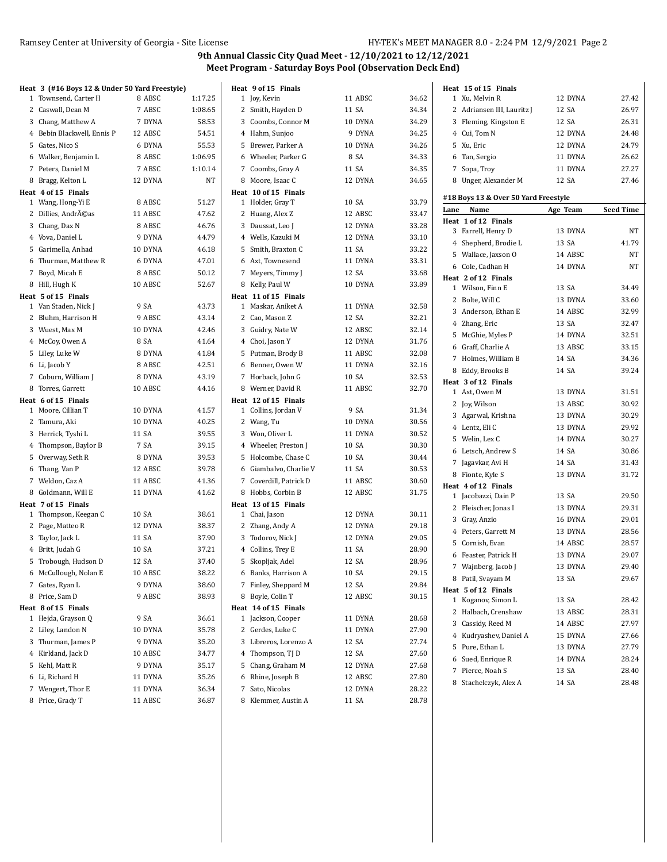|   | Heat 3 (#16 Boys 12 & Under 50 Yard Freestyle)<br>1 Townsend, Carter H | 8 ABSC  | 1:17.25 | Heat 9 of 15 Finals<br>1 Joy, Kevin | 11 ABSC | 34.62 |      | Heat 15 of 15 Finals<br>1 Xu, Melvin R     | 12 DYNA  | 27.42            |
|---|------------------------------------------------------------------------|---------|---------|-------------------------------------|---------|-------|------|--------------------------------------------|----------|------------------|
|   | 2 Caswall, Dean M                                                      | 7 ABSC  | 1:08.65 | 2 Smith, Hayden D                   | 11 SA   | 34.34 |      | 2 Adriansen III, Lauritz J                 | 12 SA    | 26.97            |
|   |                                                                        |         |         |                                     |         |       |      |                                            | 12 SA    |                  |
|   | 3 Chang, Matthew A<br>4 Bebin Blackwell, Ennis P                       | 7 DYNA  | 58.53   | 3 Coombs, Connor M                  | 10 DYNA | 34.29 |      | 3 Fleming, Kingston E                      |          | 26.31            |
|   |                                                                        | 12 ABSC | 54.51   | 4 Hahm, Sunjoo                      | 9 DYNA  | 34.25 |      | 4 Cui, Tom N                               | 12 DYNA  | 24.48            |
|   | 5 Gates, Nico S                                                        | 6 DYNA  | 55.53   | 5 Brewer, Parker A                  | 10 DYNA | 34.26 |      | 5 Xu, Eric                                 | 12 DYNA  | 24.79            |
|   | 6 Walker, Benjamin L                                                   | 8 ABSC  | 1:06.95 | 6 Wheeler, Parker G                 | 8 SA    | 34.33 |      | 6 Tan, Sergio                              | 11 DYNA  | 26.62            |
|   | 7 Peters, Daniel M                                                     | 7 ABSC  | 1:10.14 | 7 Coombs, Gray A                    | 11 SA   | 34.35 |      | 7 Sopa, Troy                               | 11 DYNA  | 27.27            |
|   | 8 Bragg, Kelton L                                                      | 12 DYNA | NT      | 8 Moore, Isaac C                    | 12 DYNA | 34.65 |      | 8 Unger, Alexander M                       | 12 SA    | 27.46            |
|   | Heat 4 of 15 Finals                                                    |         |         | Heat 10 of 15 Finals                |         |       |      | #18 Boys 13 & Over 50 Yard Freestyle       |          |                  |
|   | 1 Wang, Hong-Yi E                                                      | 8 ABSC  | 51.27   | 1 Holder, Gray T                    | 10 SA   | 33.79 | Lane | Name                                       | Age Team | <b>Seed Time</b> |
|   | 2 Dillies, Andréas                                                     | 11 ABSC | 47.62   | 2 Huang, Alex Z                     | 12 ABSC | 33.47 |      | Heat 1 of 12 Finals                        |          |                  |
|   | 3 Chang, Dax N                                                         | 8 ABSC  | 46.76   | 3 Daussat, Leo J                    | 12 DYNA | 33.28 |      | 3 Farrell, Henry D                         | 13 DYNA  | NT               |
|   | 4 Vova, Daniel L                                                       | 9 DYNA  | 44.79   | 4 Wells, Kazuki M                   | 12 DYNA | 33.10 |      | 4 Shepherd, Brodie L                       | 13 SA    | 41.79            |
|   | 5 Garimella, Anhad                                                     | 10 DYNA | 46.18   | 5 Smith, Braxton C                  | 11 SA   | 33.22 |      | 5 Wallace, Jaxson O                        | 14 ABSC  | NT               |
| 6 | Thurman, Matthew R                                                     | 6 DYNA  | 47.01   | 6 Axt, Townesend                    | 11 DYNA | 33.31 |      | 6 Cole, Cadhan H                           | 14 DYNA  | NT               |
|   | 7 Boyd, Micah E                                                        | 8 ABSC  | 50.12   | 7 Meyers, Timmy J                   | 12 SA   | 33.68 |      | Heat 2 of 12 Finals                        |          |                  |
|   | 8 Hill, Hugh K                                                         | 10 ABSC | 52.67   | 8 Kelly, Paul W                     | 10 DYNA | 33.89 |      | 1 Wilson, Finn E                           | 13 SA    | 34.49            |
|   | Heat 5 of 15 Finals                                                    |         |         | Heat 11 of 15 Finals                |         |       |      | 2 Bolte, Will C                            | 13 DYNA  | 33.60            |
|   | 1 Van Staden, Nick J                                                   | 9 SA    | 43.73   | 1 Maskar, Aniket A                  | 11 DYNA | 32.58 |      | 3 Anderson, Ethan E                        | 14 ABSC  | 32.99            |
| 2 | Bluhm, Harrison H                                                      | 9 ABSC  | 43.14   | 2 Cao, Mason Z                      | 12 SA   | 32.21 |      | 4 Zhang, Eric                              | 13 SA    | 32.47            |
|   | 3 Wuest, Max M                                                         | 10 DYNA | 42.46   | 3 Guidry, Nate W                    | 12 ABSC | 32.14 |      | 5 McGhie, Myles P                          | 14 DYNA  | 32.51            |
|   | 4 McCoy, Owen A                                                        | 8 SA    | 41.64   | 4 Choi, Jason Y                     | 12 DYNA | 31.76 |      | 6 Graff, Charlie A                         | 13 ABSC  | 33.15            |
|   | 5 Liley, Luke W                                                        | 8 DYNA  | 41.84   | 5 Putman, Brody B                   | 11 ABSC | 32.08 |      | 7 Holmes, William B                        | 14 SA    | 34.36            |
|   | 6 Li, Jacob Y                                                          | 8 ABSC  | 42.51   | 6 Benner, Owen W                    | 11 DYNA | 32.16 |      | 8 Eddy, Brooks B                           | 14 SA    | 39.24            |
|   | 7 Coburn, William J                                                    | 8 DYNA  | 43.19   | 7 Horback, John G                   | 10 SA   | 32.53 |      |                                            |          |                  |
|   | 8 Torres, Garrett                                                      | 10 ABSC | 44.16   | 8 Werner, David R                   | 11 ABSC | 32.70 |      | Heat 3 of 12 Finals<br>1 Axt, Owen M       | 13 DYNA  | 31.51            |
|   | Heat 6 of 15 Finals                                                    |         |         | Heat 12 of 15 Finals                |         |       |      | 2 Joy, Wilson                              | 13 ABSC  | 30.92            |
|   | 1 Moore, Cillian T                                                     | 10 DYNA | 41.57   | 1 Collins, Jordan V                 | 9 SA    | 31.34 |      | 3 Agarwal, Krishna                         | 13 DYNA  | 30.29            |
|   | 2 Tamura, Aki                                                          | 10 DYNA | 40.25   | 2 Wang, Tu                          | 10 DYNA | 30.56 |      | 4 Lentz, Eli C                             | 13 DYNA  | 29.92            |
|   | 3 Herrick, Tyshi L                                                     | 11 SA   | 39.55   | 3 Won, Oliver L                     | 11 DYNA | 30.52 |      | 5 Welin, Lex C                             | 14 DYNA  | 30.27            |
|   | 4 Thompson, Baylor B                                                   | 7 SA    | 39.15   | 4 Wheeler, Preston J                | 10 SA   | 30.30 |      |                                            |          | 30.86            |
|   | 5 Overway, Seth R                                                      | 8 DYNA  | 39.53   | 5 Holcombe, Chase C                 | 10 SA   | 30.44 |      | 6 Letsch, Andrew S                         | 14 SA    |                  |
|   | 6 Thang, Van P                                                         | 12 ABSC | 39.78   | 6 Giambalvo, Charlie V              | 11 SA   | 30.53 |      | 7 Jagavkar, Avi H                          | 14 SA    | 31.43            |
|   | 7 Weldon, Caz A                                                        | 11 ABSC | 41.36   | 7 Coverdill, Patrick D              | 11 ABSC | 30.60 |      | 8 Fionte, Kyle S                           | 13 DYNA  | 31.72            |
|   | 8 Goldmann, Will E                                                     | 11 DYNA | 41.62   | 8 Hobbs, Corbin B                   | 12 ABSC | 31.75 |      | Heat 4 of 12 Finals<br>1 Jacobazzi, Dain P | 13 SA    | 29.50            |
|   | Heat 7 of 15 Finals                                                    |         |         | Heat 13 of 15 Finals                |         |       |      |                                            |          |                  |
|   | 1 Thompson, Keegan C                                                   | 10 SA   | 38.61   | 1 Chai, Jason                       | 12 DYNA | 30.11 |      | 2 Fleischer, Jonas I                       | 13 DYNA  | 29.31            |
|   | 2 Page, Matteo R                                                       | 12 DYNA | 38.37   | 2 Zhang, Andy A                     | 12 DYNA | 29.18 |      | 3 Gray, Anzio                              | 16 DYNA  | 29.01            |
|   | 3 Taylor, Jack L                                                       | 11 SA   | 37.90   | 3 Todorov, Nick J                   | 12 DYNA | 29.05 |      | 4 Peters, Garrett M                        | 13 DYNA  | 28.56            |
|   | 4 Britt, Judah G                                                       | 10 SA   | 37.21   | 4 Collins, Trey E                   | 11 SA   | 28.90 |      | 5 Cornish, Evan                            | 14 ABSC  | 28.57            |
|   | 5 Trobough, Hudson D                                                   | 12 SA   | 37.40   | 5 Skopljak, Adel                    | 12 SA   | 28.96 |      | 6 Feaster, Patrick H                       | 13 DYNA  | 29.07            |
|   | 6 McCullough, Nolan E                                                  | 10 ABSC | 38.22   | 6 Banks, Harrison A                 | 10 SA   | 29.15 |      | 7 Wajnberg, Jacob J                        | 13 DYNA  | 29.40            |
|   | 7 Gates, Ryan L                                                        | 9 DYNA  | 38.60   | 7 Finley, Sheppard M                | 12 SA   | 29.84 |      | 8 Patil, Svayam M                          | 13 SA    | 29.67            |
|   | 8 Price, Sam D                                                         | 9 ABSC  | 38.93   | 8 Boyle, Colin T                    | 12 ABSC | 30.15 |      | Heat 5 of 12 Finals                        |          |                  |
|   | Heat 8 of 15 Finals                                                    |         |         | Heat 14 of 15 Finals                |         |       |      | 1 Koganov, Simon L                         | 13 SA    | 28.42            |
|   | 1 Hejda, Grayson Q                                                     | 9 SA    | 36.61   | 1 Jackson, Cooper                   | 11 DYNA | 28.68 |      | 2 Halbach, Crenshaw                        | 13 ABSC  | 28.31            |
|   | 2 Liley, Landon N                                                      | 10 DYNA | 35.78   | 2 Gerdes, Luke C                    | 11 DYNA | 27.90 |      | 3 Cassidy, Reed M                          | 14 ABSC  | 27.97            |
|   | 3 Thurman, James P                                                     | 9 DYNA  | 35.20   | 3 Libreros, Lorenzo A               | 12 SA   | 27.74 |      | 4 Kudryashev, Daniel A                     | 15 DYNA  | 27.66            |
|   | 4 Kirkland, Jack D                                                     | 10 ABSC | 34.77   | 4 Thompson, TJ D                    | 12 SA   | 27.60 |      | 5 Pure, Ethan L                            | 13 DYNA  | 27.79            |
|   | 5 Kehl, Matt R                                                         | 9 DYNA  | 35.17   | 5 Chang, Graham M                   | 12 DYNA | 27.68 |      | 6 Sued, Enrique R                          | 14 DYNA  | 28.24            |
|   | 6 Li, Richard H                                                        | 11 DYNA | 35.26   | 6 Rhine, Joseph B                   |         |       |      | 7 Pierce, Noah S                           | 13 SA    | 28.40            |
|   |                                                                        |         |         |                                     | 12 ABSC | 27.80 |      | 8 Stachelczyk, Alex A                      | 14 SA    | 28.48            |
|   | 7 Wengert, Thor E                                                      | 11 DYNA | 36.34   | 7 Sato, Nicolas                     | 12 DYNA | 28.22 |      |                                            |          |                  |
|   | 8 Price, Grady T                                                       | 11 ABSC | 36.87   | 8 Klemmer, Austin A                 | 11 SA   | 28.78 |      |                                            |          |                  |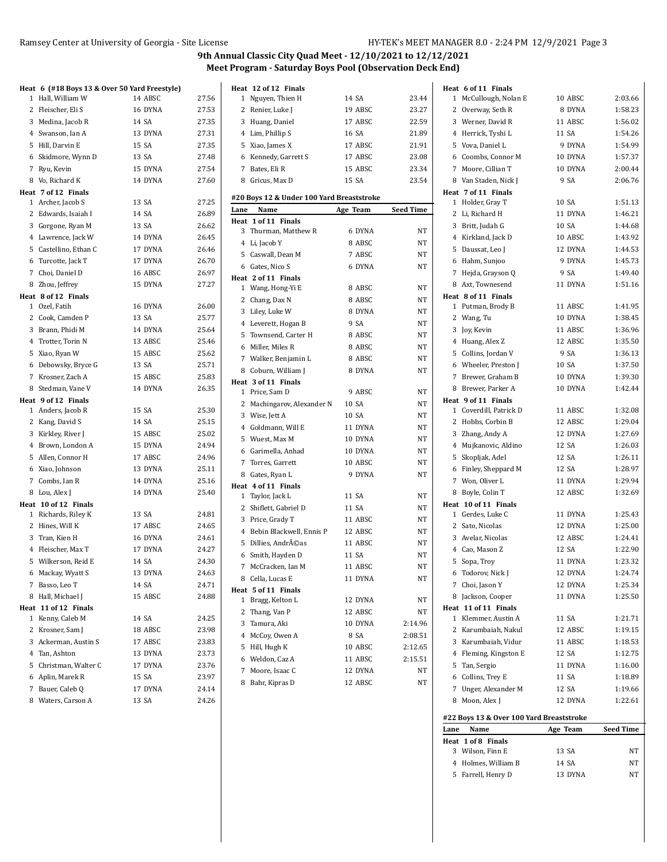#### Ramsey Center at University of Georgia - Site License HEER HERRY SOURD HY-TEK's MEET MANAGER 8.0 - 2:24 PM 12/9/2021 Page 3

|              |                                        | Heat 6 (#18 Boys 13 & Over 50 Yard Freestyle) |                |
|--------------|----------------------------------------|-----------------------------------------------|----------------|
| 1            | Hall, William W                        | 14 ABSC                                       | 27.56          |
| 2            | Fleischer, Eli S                       | 16 DYNA                                       | 27.53          |
|              | 3 Medina, Jacob R                      | 14 SA                                         | 27.35          |
|              | 4 Swanson, Ian A                       | 13 DYNA                                       | 27.31          |
| 5            | Hill, Darvin E                         | 15 SA                                         | 27.35          |
| 6            | Skidmore, Wynn D                       | 13 SA                                         | 27.48          |
|              | 7 Ryu, Kevin                           | 15 DYNA                                       | 27.54          |
|              | 8 Vo, Richard K                        | 14 DYNA                                       | 27.60          |
|              | Heat 7 of 12 Finals                    |                                               |                |
|              | 1 Archer, Jacob S                      | 13 SA                                         | 27.25          |
|              | 2 Edwards, Isaiah I                    | 14 SA                                         | 26.89          |
| 3            | Gorgone, Ryan M                        | 13 SA                                         | 26.62          |
|              | 4 Lawrence, Jack W                     | 14 DYNA                                       | 26.45          |
| 5            | Castellino, Ethan C                    | 17 DYNA                                       | 26.46          |
|              | 6 Turcotte, Jack T                     | 17 DYNA                                       | 26.70          |
|              | 7 Choi, Daniel D                       | 16 ABSC                                       | 26.97          |
|              | 8 Zhou, Jeffrey                        | 15 DYNA                                       | 27.27          |
|              | Heat 8 of 12 Finals                    |                                               |                |
| $\mathbf{1}$ | Ozel, Fatih                            | 16 DYNA                                       | 26.00          |
|              | 2 Cook, Camden P                       | 13 SA                                         | 25.77          |
|              | 3 Brann, Phidi M                       | 14 DYNA                                       | 25.64          |
|              | 4 Trotter, Torin N                     | 13 ABSC                                       | 25.46          |
| 5            | Xiao, Ryan W                           | 15 ABSC                                       | 25.62          |
|              | 6 Debowsky, Bryce G                    | 13 SA                                         | 25.71          |
|              | 7 Krosner, Zach A                      | 15 ABSC                                       | 25.83          |
|              | 8 Stedman, Vane V                      | 14 DYNA                                       | 26.35          |
|              | Heat 9 of 12 Finals                    |                                               |                |
|              | 1 Anders, Jacob R                      | 15 SA                                         | 25.30          |
|              | 2 Kang, David S                        | 14 SA                                         | 25.15          |
|              | 3 Kirkley, River J                     | 15 ABSC                                       | 25.02          |
|              | 4 Brown, London A                      | 15 DYNA                                       | 24.94          |
|              | 5 Allen, Connor H                      | 17 ABSC                                       | 24.96          |
|              | 6 Xiao, Johnson                        | 13 DYNA                                       | 25.11          |
| $7^{\circ}$  | Combs, Ian R                           | 14 DYNA                                       | 25.16          |
|              | 8 Lou, Alex J                          | 14 DYNA                                       | 25.40          |
|              | Heat 10 of 12 Finals                   | 13 SA                                         | 24.81          |
|              | 1 Richards, Riley K<br>2 Hines, Will K | 17 ABSC                                       | 24.65          |
|              |                                        | 16 DYNA                                       |                |
|              | 3 Tran, Kien H                         |                                               | 24.61<br>24.27 |
|              | 4 Fleischer, Max T                     | 17 DYNA                                       | 24.30          |
|              | 5 Wilkerson, Reid E                    | 14 SA                                         |                |
|              | 6 Mackay, Wyatt S                      | 13 DYNA                                       | 24.63          |
| 7            | Basso, Leo T                           | 14 SA                                         | 24.71          |
|              | 8 Hall, Michael J                      | 15 ABSC                                       | 24.88          |
| 1            | Heat 11 of 12 Finals<br>Kenny, Caleb M | 14 SA                                         | 24.25          |
| 2            | Krosner, Sam J                         | 18 ABSC                                       | 23.98          |
|              | 3 Ackerman, Austin S                   | 17 ABSC                                       | 23.83          |
|              | 4 Tan, Ashton                          | 13 DYNA                                       | 23.73          |
|              |                                        | 17 DYNA                                       | 23.76          |
|              | 5 Christman, Walter C                  | 15 SA                                         |                |
| 7            | 6 Aplin, Marek R<br>Bauer, Caleb Q     | 17 DYNA                                       | 23.97          |
|              |                                        | 13 SA                                         | 24.14          |
|              | 8 Waters, Carson A                     |                                               | 24.26          |

| Heat         | 12 of 12 Finals                           |          |                  |
|--------------|-------------------------------------------|----------|------------------|
|              | 1 Nguyen, Thien H                         | 14 SA    | 23.44            |
| 2            | Renier, Luke J                            | 19 ABSC  | 23.27            |
|              | 3 Huang, Daniel                           | 17 ABSC  | 22.59            |
|              | 4 Lim, Phillip S                          | 16 SA    | 21.89            |
|              | 5 Xiao, James X                           | 17 ABSC  | 21.91            |
|              | 6 Kennedy, Garrett S                      | 17 ABSC  | 23.08            |
|              | 7 Bates, Eli R                            | 15 ABSC  | 23.34            |
| 8            | Gricus, Max D                             | 15 SA    | 23.54            |
|              | #20 Boys 12 & Under 100 Yard Breaststroke |          |                  |
| Lane         | Name                                      | Age Team | <b>Seed Time</b> |
| Heat         | 1 of 11 Finals                            |          |                  |
|              | 3 Thurman, Matthew R                      | 6 DYNA   | NT               |
|              | 4 Li, Jacob Y                             | 8 ABSC   | ΝT               |
|              | 5 Caswall, Dean M                         | 7 ABSC   | NT               |
|              | 6 Gates, Nico S                           | 6 DYNA   | NT               |
|              | Heat 2 of 11 Finals                       |          |                  |
|              | 1 Wang, Hong-Yi E                         | 8 ABSC   | NT               |
|              | 2 Chang, Dax N                            | 8 ABSC   | NT               |
|              | 3 Liley, Luke W                           | 8 DYNA   | <b>NT</b>        |
|              | 4 Leverett, Hogan B                       | 9 SA     | NT               |
|              | 5 Townsend, Carter H                      | 8 ABSC   | NT               |
|              | 6 Miller, Miles R                         | 8 ABSC   | NT               |
|              | 7 Walker, Benjamin L                      | 8 ABSC   | NT               |
|              | 8 Coburn, William J                       | 8 DYNA   | ΝT               |
|              | Heat 3 of 11 Finals                       |          |                  |
|              | 1 Price, Sam D                            | 9 ABSC   | NT               |
| 2            | Machingarov, Alexander N                  | 10 SA    | NT               |
|              | 3 Wise, Jett A                            | 10 SA    | NT               |
|              | 4 Goldmann, Will E                        | 11 DYNA  | NT               |
|              | 5 Wuest, Max M                            | 10 DYNA  | NT               |
|              | 6 Garimella, Anhad                        | 10 DYNA  | NT               |
|              | 7 Torres, Garrett                         | 10 ABSC  | NT               |
| 8            | Gates, Ryan L                             | 9 DYNA   | NT               |
|              | Heat 4 of 11 Finals                       |          |                  |
| $\mathbf{1}$ | Taylor, Jack L                            | 11 SA    | NT               |
| 2            | Shiflett, Gabriel D                       | 11 SA    | NT               |
|              | 3 Price, Grady T                          | 11 ABSC  | NT               |
|              | 4 Bebin Blackwell, Ennis P                | 12 ABSC  | NT               |
|              | 5 Dillies, Andréas                        | 11 ABSC  | NT               |
|              | 6 Smith, Hayden D                         | 11 SA    | NT               |
| $7^{\circ}$  | McCracken, Ian M                          | 11 ABSC  | NT               |
| 8            | Cella, Lucas E                            | 11 DYNA  | ΝT               |
|              | Heat 5 of 11 Finals                       |          |                  |
| 1            | Bragg, Kelton L                           | 12 DYNA  | NT               |
| 2            | Thang, Van P                              | 12 ABSC  | ΝT               |
| 3            | Tamura, Aki                               | 10 DYNA  | 2:14.96          |
| 4            | McCoy, Owen A                             | 8 SA     | 2:08.51          |
| 5            | Hill, Hugh K                              | 10 ABSC  | 2:12.65          |
| 6            | Weldon, Caz A                             | 11 ABSC  | 2:15.51          |
| 7            | Moore, Isaac C                            | 12 DYNA  | NT               |
| 8            | Bahr, Kipras D                            | 12 ABSC  | NΤ               |

|              | Heat 6 of 11 Finals                      |                    |                    |
|--------------|------------------------------------------|--------------------|--------------------|
| 1            | McCullough, Nolan E                      | 10 ABSC            | 2:03.66            |
| $\mathbf{2}$ | Overway, Seth R                          | 8 DYNA             | 1:58.23            |
|              | 3 Werner, David R                        | 11 ABSC            | 1:56.02            |
|              | 4 Herrick, Tyshi L                       | 11 SA              | 1:54.26            |
|              | 5 Vova, Daniel L                         | 9 DYNA             | 1:54.99            |
|              | 6 Coombs, Connor M                       | 10 DYNA            | 1:57.37            |
| $7^{\circ}$  | Moore, Cillian T                         | 10 DYNA            | 2:00.44            |
|              | 8 Van Staden, Nick J                     | 9 SA               | 2:06.76            |
|              | Heat 7 of 11 Finals                      |                    |                    |
| $\mathbf{1}$ | Holder, Gray T                           | 10 SA              | 1:51.13            |
| $\mathbf{2}$ | Li, Richard H                            | 11 DYNA            | 1:46.21            |
|              | 3 Britt, Judah G                         | 10 SA              | 1:44.68            |
|              | 4 Kirkland, Jack D                       | 10 ABSC            | 1:43.92            |
| 5            | Daussat, Leo J                           | 12 DYNA            | 1:44.53            |
|              | 6 Hahm, Sunjoo                           | 9 DYNA             | 1:45.73            |
|              | 7 Hejda, Grayson Q                       | 9 SA               | 1:49.40            |
|              | 8 Axt, Townesend                         | 11 DYNA            | 1:51.16            |
|              | Heat 8 of 11 Finals                      |                    |                    |
| $\mathbf{1}$ | Putman, Brody B                          | 11 ABSC            | 1:41.95            |
|              | 2 Wang, Tu                               | 10 DYNA            | 1:38.45            |
| 3            | Joy, Kevin                               | 11 ABSC            | 1:36.96            |
|              | 4 Huang, Alex Z                          | 12 ABSC            | 1:35.50            |
|              | 5 Collins, Jordan V                      | 9 SA               | 1:36.13            |
|              | 6 Wheeler, Preston J                     | 10 SA              | 1:37.50            |
|              | 7 Brewer, Graham B                       | 10 DYNA            | 1:39.30            |
|              | 8 Brewer, Parker A                       | 10 DYNA            | 1:42.44            |
|              | Heat 9 of 11 Finals                      |                    |                    |
| 1            | Coverdill, Patrick D                     | 11 ABSC            | 1:32.08            |
| 2            | Hobbs, Corbin B                          | 12 ABSC<br>12 DYNA | 1:29.04            |
|              | 3 Zhang, Andy A                          | 12 SA              | 1:27.69<br>1:26.03 |
| 5            | 4 Mujkanovic, Aldino<br>Skopljak, Adel   | 12 SA              | 1:26.11            |
|              | 6 Finley, Sheppard M                     | 12 SA              | 1:28.97            |
|              | 7 Won, Oliver L                          | 11 DYNA            | 1:29.94            |
|              | 8 Boyle, Colin T                         | 12 ABSC            | 1:32.69            |
|              | Heat 10 of 11 Finals                     |                    |                    |
|              | 1 Gerdes, Luke C                         | 11 DYNA            | 1:25.43            |
|              | 2 Sato, Nicolas                          | 12 DYNA            | 1:25.00            |
|              | 3 Avelar, Nicolas                        | 12 ABSC            | 1:24.41            |
|              | 4 Cao, Mason Z                           | 12 SA              | 1:22.90            |
| 5            | Sopa, Troy                               | 11 DYNA            | 1:23.32            |
| 6            | Todorov, Nick J                          | 12 DYNA            | 1:24.74            |
|              | 7 Choi, Jason Y                          | 12 DYNA            | 1:25.34            |
|              | 8 Jackson, Cooper                        | 11 DYNA            | 1:25.50            |
|              | Heat 11 of 11 Finals                     |                    |                    |
| 1.           | Klemmer, Austin A                        | 11 SA              | 1:21.71            |
|              | 2 Karumbaiah, Nakul                      | 12 ABSC            | 1:19.15            |
|              | 3 Karumbaiah, Vidur                      | 11 ABSC            | 1:18.53            |
| 4            | Fleming, Kingston E                      | 12 SA              | 1:12.75            |
|              | 5 Tan, Sergio                            | 11 DYNA            | 1:16.00            |
|              | 6 Collins, Trey E                        | 11 SA              | 1:18.89            |
|              | 7 Unger, Alexander M                     | 12 SA              | 1:19.66            |
| 8            | Moon, Alex J                             | 12 DYNA            | 1:22.61            |
|              | #22 Boys 13 & Over 100 Yard Breaststroke |                    |                    |
| Lane         | Name                                     | Age Team           | <b>Seed Time</b>   |
|              | Heat 1 of 8 Finals                       |                    |                    |
|              | 3 Wilson, Finn E                         | 13 SA              | NΤ                 |
|              |                                          |                    |                    |
|              | 4 Holmes, William B                      | 14 SA              | NΤ                 |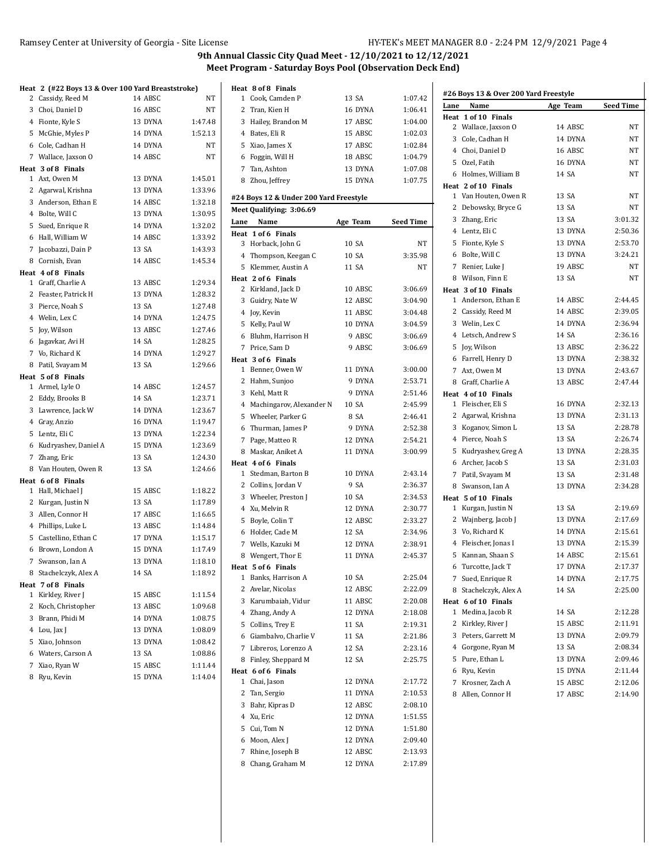|   | Heat 2 (#22 Boys 13 & Over 100 Yard Breaststroke) |         |         |
|---|---------------------------------------------------|---------|---------|
|   | 2 Cassidy, Reed M                                 | 14 ABSC | NΤ      |
|   | 3 Choi, Daniel D                                  | 16 ABSC | NΤ      |
|   | 4 Fionte, Kyle S                                  | 13 DYNA | 1:47.48 |
|   | 5 McGhie, Myles P                                 | 14 DYNA | 1:52.13 |
|   | 6 Cole, Cadhan H                                  | 14 DYNA | NT      |
|   | 7 Wallace, Jaxson O                               | 14 ABSC | NT      |
|   | Heat 3 of 8 Finals                                |         |         |
|   | 1 Axt, Owen M                                     | 13 DYNA | 1:45.01 |
|   | 2 Agarwal, Krishna                                | 13 DYNA | 1:33.96 |
|   | 3 Anderson, Ethan E                               | 14 ABSC | 1:32.18 |
|   | 4 Bolte, Will C                                   | 13 DYNA | 1:30.95 |
|   | 5 Sued, Enrique R                                 | 14 DYNA | 1:32.02 |
|   | 6 Hall, William W                                 | 14 ABSC | 1:33.92 |
|   | 7 Jacobazzi, Dain P                               | 13 SA   | 1:43.93 |
|   | 8 Cornish, Evan                                   | 14 ABSC | 1:45.34 |
|   | Heat 4 of 8 Finals                                |         |         |
|   | 1 Graff, Charlie A                                | 13 ABSC | 1:29.34 |
|   | 2 Feaster, Patrick H                              | 13 DYNA | 1:28.32 |
|   | 3 Pierce, Noah S                                  | 13 SA   | 1:27.48 |
|   | 4 Welin, Lex C                                    | 14 DYNA | 1:24.75 |
| 5 | Joy, Wilson                                       | 13 ABSC | 1:27.46 |
|   | 6 Jagavkar, Avi H                                 | 14 SA   | 1:28.25 |
|   | 7 Vo, Richard K                                   | 14 DYNA | 1:29.27 |
|   | 8 Patil, Svayam M                                 | 13 SA   | 1:29.66 |
|   | Heat 5 of 8 Finals                                |         |         |
|   | 1 Armel, Lyle O                                   | 14 ABSC | 1:24.57 |
|   | 2 Eddy, Brooks B                                  | 14 SA   | 1:23.71 |
|   | 3 Lawrence, Jack W                                | 14 DYNA | 1:23.67 |
|   | 4 Gray, Anzio                                     | 16 DYNA | 1:19.47 |
|   | 5 Lentz, Eli C                                    | 13 DYNA | 1:22.34 |
|   | 6 Kudryashev, Daniel A                            | 15 DYNA | 1:23.69 |
|   | 7 Zhang, Eric                                     | 13 SA   | 1:24.30 |
|   | 8 Van Houten, Owen R                              | 13 SA   | 1:24.66 |
|   | Heat 6 of 8 Finals                                |         |         |
|   | 1 Hall, Michael J                                 | 15 ABSC | 1:18.22 |
|   | 2 Kurgan, Justin N                                | 13 SA   | 1:17.89 |
|   | 3 Allen, Connor H                                 | 17 ABSC | 1:16.65 |
|   | 4 Phillips, Luke L                                | 13 ABSC | 1:14.84 |
|   | 5 Castellino, Ethan C                             | 17 DYNA | 1:15.17 |
|   | 6 Brown, London A                                 | 15 DYNA | 1:17.49 |
|   | 7 Swanson, Ian A                                  | 13 DYNA | 1:18.10 |
|   | 8 Stachelczyk, Alex A                             | 14 SA   | 1:18.92 |
|   | Heat 7 of 8 Finals                                |         |         |
| 1 | Kirkley, River J                                  | 15 ABSC | 1:11.54 |
| 2 | Koch, Christopher                                 | 13 ABSC | 1:09.68 |
|   | 3 Brann, Phidi M                                  | 14 DYNA | 1:08.75 |
|   | 4 Lou, Jax J                                      | 13 DYNA | 1:08.09 |
| 5 | Xiao, Johnson                                     | 13 DYNA | 1:08.42 |
|   | 6 Waters, Carson A                                | 13 SA   | 1:08.86 |
| 7 | Xiao, Ryan W                                      | 15 ABSC | 1:11.44 |
| 8 | Ryu, Kevin                                        | 15 DYNA | 1:14.04 |

|      | Heat 8 of 8 Finals                       |          |                    |                     |
|------|------------------------------------------|----------|--------------------|---------------------|
| 1    | Cook, Camden P                           | 13 SA    | 1:07.42            | #26 Boy:            |
|      | 2 Tran, Kien H                           | 16 DYNA  | 1:06.41            | Lane<br>ľ           |
| 3    | Hailey, Brandon M                        | 17 ABSC  | 1:04.00            | Heat 1 d            |
|      | 4 Bates, Eli R                           | 15 ABSC  | 1:02.03            | 2 Wa                |
|      | 5 Xiao, James X                          | 17 ABSC  | 1:02.84            | 3 Col               |
|      | 6 Foggin, Will H                         | 18 ABSC  | 1:04.79            | 4 Cho               |
|      | 7 Tan, Ashton                            | 13 DYNA  | 1:07.08            | 50z                 |
|      | 8 Zhou, Jeffrey                          | 15 DYNA  | 1:07.75            | 6 Hol               |
|      |                                          |          |                    | Heat 2 o<br>1 Var   |
|      | #24 Boys 12 & Under 200 Yard Freestyle   |          |                    |                     |
|      | Meet Qualifying: 3:06.69                 |          |                    | 2 Del<br>3 Zha      |
| Lane | Name                                     | Age Team | Seed Time          | 4 Ler               |
|      | Heat 1 of 6 Finals                       |          |                    |                     |
|      | 3 Horback, John G                        | 10 SA    | NΤ                 | 5 Fio               |
|      | 4 Thompson, Keegan C                     | 10 SA    | 3:35.98            | 6 Bol<br>7<br>Rei   |
|      | 5 Klemmer, Austin A                      | 11 SA    | NT                 |                     |
|      | Heat 2 of 6 Finals<br>2 Kirkland, Jack D | 10 ABSC  | 3:06.69            | 8 Wil               |
|      | 3 Guidry, Nate W                         | 12 ABSC  | 3:04.90            | Heat 3 d<br>$1$ And |
|      |                                          | 11 ABSC  | 3:04.48            | 2 Cas               |
|      | 4 Joy, Kevin                             | 10 DYNA  |                    | 3 We                |
| 5    | Kelly, Paul W                            | 9 ABSC   | 3:04.59<br>3:06.69 | 4 Let               |
|      | 6 Bluhm, Harrison H                      | 9 ABSC   | 3:06.69            | 5 Joy               |
|      | 7 Price, Sam D<br>Heat 3 of 6 Finals     |          |                    | 6 Far               |
|      | 1 Benner, Owen W                         | 11 DYNA  | 3:00.00            | 7<br>Axt            |
|      | 2 Hahm, Sunjoo                           | 9 DYNA   | 2:53.71            | 8 Gra               |
|      | 3 Kehl, Matt R                           | 9 DYNA   | 2:51.46            | Heat 4 d            |
|      | 4 Machingarov, Alexander N               | 10 SA    | 2:45.99            | 1 Fle               |
|      | 5 Wheeler, Parker G                      | 8 SA     | 2:46.41            | 2<br>Ag             |
| 6    | Thurman, James P                         | 9 DYNA   | 2:52.38            | 3 Kog               |
| 7    | Page, Matteo R                           | 12 DYNA  | 2:54.21            | 4 Pie               |
|      | 8 Maskar, Aniket A                       | 11 DYNA  | 3:00.99            | 5 Ku                |
|      | Heat 4 of 6 Finals                       |          |                    | 6 Arc               |
|      | 1 Stedman, Barton B                      | 10 DYNA  | 2:43.14            | 7<br>Pat            |
|      | 2 Collins, Jordan V                      | 9 SA     | 2:36.37            | 8 Sw                |
|      | 3 Wheeler, Preston J                     | 10 SA    | 2:34.53            | Heat 5 d            |
|      | 4 Xu, Melvin R                           | 12 DYNA  | 2:30.77            | 1 Kui               |
| 5    | Boyle, Colin T                           | 12 ABSC  | 2:33.27            | 2 Wa                |
|      | 6 Holder, Cade M                         | 12 SA    | 2:34.96            | 3 Vo,               |
| 7    | Wells, Kazuki M                          | 12 DYNA  | 2:38.91            | 4 Fle               |
|      | 8 Wengert, Thor E                        | 11 DYNA  | 2:45.37            | 5 Kai               |
|      | Heat 5 of 6 Finals                       |          |                    | 6 Tui               |
| 1    | Banks, Harrison A                        | 10 SA    | 2:25.04            | 7<br>Sue            |
| 2    | Avelar, Nicolas                          | 12 ABSC  | 2:22.09            | 8 Sta               |
|      | 3 Karumbaiah, Vidur                      | 11 ABSC  | 2:20.08            | Heat 6 d            |
|      | 4 Zhang, Andy A                          | 12 DYNA  | 2:18.08            | 1<br>Me             |
| 5    | Collins, Trey E                          | 11 SA    | 2:19.31            | 2<br>Kir            |
| 6    | Giambalvo, Charlie V                     | 11 SA    | 2:21.86            | 3<br>Pet            |
| 7    | Libreros, Lorenzo A                      | 12 SA    | 2:23.16            | $^{4}$<br>Gol       |
| 8    | Finley, Sheppard M                       | 12 SA    | 2:25.75            | 5<br>Pur            |
|      | Heat 6 of 6 Finals                       |          |                    | 6<br>Ryı            |
| 1    | Chai, Jason                              | 12 DYNA  | 2:17.72            | 7<br>Kro            |
| 2    | Tan, Sergio                              | 11 DYNA  | 2:10.53            | 8<br>All            |
| 3    | Bahr, Kipras D                           | 12 ABSC  | 2:08.10            |                     |
| 4    | Xu, Eric                                 | 12 DYNA  | 1:51.55            |                     |
| 5    | Cui, Tom N                               | 12 DYNA  | 1:51.80            |                     |
| 6    | Moon, Alex J                             | 12 DYNA  | 2:09.40            |                     |
| 7    | Rhine, Joseph B                          | 12 ABSC  | 2:13.93            |                     |
| 8    | Chang, Graham M                          | 12 DYNA  | 2:17.89            |                     |

| #26 Boys 13 & Over 200 Yard Freestyle |                                        |                  |                    |  |  |  |  |
|---------------------------------------|----------------------------------------|------------------|--------------------|--|--|--|--|
| Lane                                  | Name                                   | Age Team         | <b>Seed Time</b>   |  |  |  |  |
|                                       | Heat 1 of 10 Finals                    |                  |                    |  |  |  |  |
| 2                                     | Wallace, Jaxson O                      | 14 ABSC          | NT                 |  |  |  |  |
| 3                                     | Cole, Cadhan H                         | 14 DYNA          | NT                 |  |  |  |  |
|                                       | 4 Choi, Daniel D                       | 16 ABSC          | <b>NT</b>          |  |  |  |  |
|                                       | 5 Ozel. Fatih                          | 16 DYNA          | NΤ                 |  |  |  |  |
| 6                                     | Holmes, William B                      | 14 SA            | NT                 |  |  |  |  |
|                                       | Heat 2 of 10 Finals                    |                  |                    |  |  |  |  |
| 1                                     | Van Houten, Owen R                     | 13 SA            | NT                 |  |  |  |  |
| 2                                     | Debowsky, Bryce G                      | 13 SA            | NT                 |  |  |  |  |
| 3                                     | Zhang, Eric                            | 13 SA            | 3:01.32            |  |  |  |  |
|                                       | 4 Lentz, Eli C                         | 13 DYNA          | 2:50.36            |  |  |  |  |
| 5                                     | Fionte, Kyle S                         | 13 DYNA          | 2:53.70            |  |  |  |  |
|                                       | 6 Bolte, Will C                        | 13 DYNA          | 3:24.21            |  |  |  |  |
| 7                                     | Renier, Luke J                         | 19 ABSC          | NT                 |  |  |  |  |
| 8                                     | Wilson, Finn E                         | 13 SA            | NT                 |  |  |  |  |
|                                       | Heat 3 of 10 Finals                    |                  |                    |  |  |  |  |
| $\mathbf{1}$                          | Anderson, Ethan E                      | 14 ABSC          | 2:44.45            |  |  |  |  |
|                                       | 2 Cassidy, Reed M                      | 14 ABSC          | 2:39.05            |  |  |  |  |
|                                       | 3 Welin, Lex C                         | 14 DYNA          | 2:36.94            |  |  |  |  |
|                                       | 4 Letsch, Andrew S                     | 14 SA            | 2:36.16            |  |  |  |  |
| 5                                     | Joy, Wilson                            | 13 ABSC          | 2:36.22            |  |  |  |  |
|                                       | 6 Farrell, Henry D                     | 13 DYNA          | 2:38.32            |  |  |  |  |
| 7                                     | Axt. Owen M                            | 13 DYNA          | 2:43.67            |  |  |  |  |
| 8                                     | Graff. Charlie A                       | 13 ABSC          | 2:47.44            |  |  |  |  |
|                                       | Heat 4 of 10 Finals                    |                  |                    |  |  |  |  |
| 1                                     | Fleischer, Eli S                       | 16 DYNA          | 2:32.13            |  |  |  |  |
|                                       | 2 Agarwal, Krishna                     | 13 DYNA          | 2:31.13            |  |  |  |  |
| 3                                     | Koganov, Simon L                       | 13 SA            | 2:28.78            |  |  |  |  |
|                                       | 4 Pierce, Noah S                       | 13 SA            | 2:26.74            |  |  |  |  |
| 5                                     | Kudryashev, Greg A                     | 13 DYNA          | 2:28.35            |  |  |  |  |
|                                       | 6 Archer, Jacob S                      | 13 SA            | 2:31.03            |  |  |  |  |
| 7                                     | Patil, Svayam M                        | 13 SA            | 2:31.48            |  |  |  |  |
| 8                                     | Swanson, Ian A                         | 13 DYNA          | 2:34.28            |  |  |  |  |
|                                       | Heat 5 of 10 Finals                    |                  |                    |  |  |  |  |
| 1                                     | Kurgan, Justin N                       | 13 SA            | 2:19.69            |  |  |  |  |
| 2                                     | Wajnberg, Jacob J                      | 13 DYNA          | 2:17.69            |  |  |  |  |
|                                       | 3 Vo, Richard K                        | 14 DYNA          | 2:15.61            |  |  |  |  |
|                                       | 4 Fleischer, Jonas I                   | 13 DYNA          | 2:15.39            |  |  |  |  |
| 5                                     | Kannan, Shaan S                        | 14 ABSC          | 2:15.61            |  |  |  |  |
| 6                                     | Turcotte, Jack T                       | 17 DYNA          | 2:17.37            |  |  |  |  |
|                                       |                                        |                  |                    |  |  |  |  |
| 7                                     | Sued, Enrique R<br>Stachelczyk, Alex A | 14 DYNA<br>14 SA | 2:17.75<br>2:25.00 |  |  |  |  |
| 8                                     | Heat 6 of 10 Finals                    |                  |                    |  |  |  |  |
| $\mathbf{1}$                          | Medina, Jacob R                        | 14 SA            | 2:12.28            |  |  |  |  |
| 2                                     | Kirkley, River J                       | 15 ABSC          | 2:11.91            |  |  |  |  |
| 3                                     | Peters, Garrett M                      | 13 DYNA          | 2:09.79            |  |  |  |  |
|                                       | 4 Gorgone, Ryan M                      | 13 SA            |                    |  |  |  |  |
|                                       |                                        |                  | 2:08.34            |  |  |  |  |
| 5                                     | Pure, Ethan L                          | 13 DYNA          | 2:09.46            |  |  |  |  |
| 6                                     | Ryu, Kevin                             | 15 DYNA          | 2:11.44<br>2:12.06 |  |  |  |  |
| 7                                     | Krosner, Zach A                        | 15 ABSC          |                    |  |  |  |  |
| 8                                     | Allen, Connor H                        | 17 ABSC          | 2:14.90            |  |  |  |  |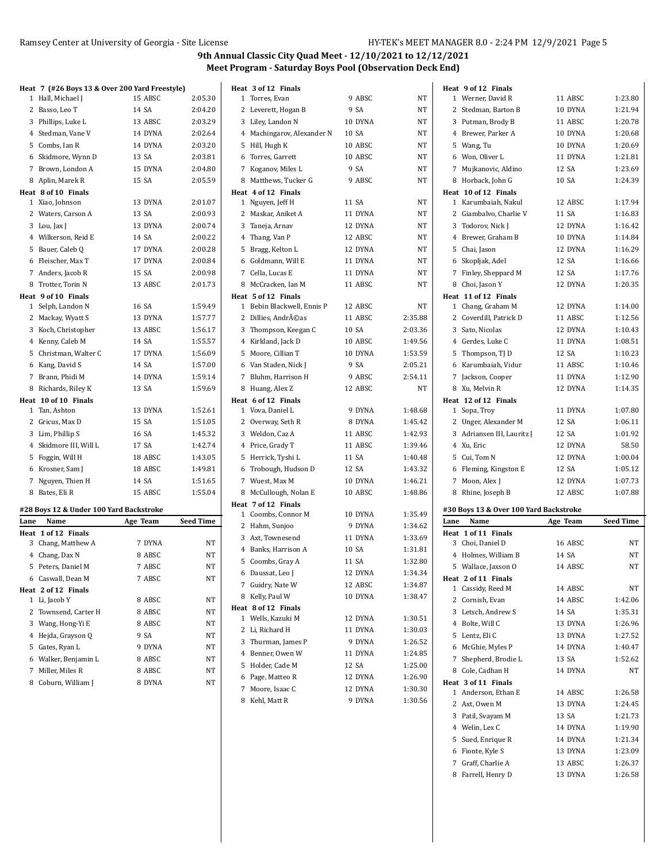Patil, Svayam M 13 SA 1:21.73 Welin, Lex C 14 DYNA 1:19.90 Sued, Enrique R 14 DYNA 1:21.34 Fionte, Kyle S 13 DYNA 1:23.09 Graff, Charlie A 13 ABSC 1:26.37 8 Farrell, Henry D 13 DYNA 1:26.58

|      | Heat 7 (#26 Boys 13 & Over 200 Yard Freestyle) |          |                  | Heat 3 of 12 Finals        |         |         |      | Heat 9 of 12 Finals                     |          |                  |
|------|------------------------------------------------|----------|------------------|----------------------------|---------|---------|------|-----------------------------------------|----------|------------------|
|      | 1 Hall, Michael J                              | 15 ABSC  | 2:05.30          | 1 Torres, Evan             | 9 ABSC  | NT      |      | 1 Werner, David R                       | 11 ABSC  | 1:23.80          |
|      | 2 Basso, Leo T                                 | 14 SA    | 2:04.20          | 2 Leverett, Hogan B        | 9 SA    | NT      |      | 2 Stedman, Barton B                     | 10 DYNA  | 1:21.94          |
|      | 3 Phillips, Luke L                             | 13 ABSC  | 2:03.29          | 3 Liley, Landon N          | 10 DYNA | NT      |      | 3 Putman, Brody B                       | 11 ABSC  | 1:20.78          |
|      | 4 Stedman, Vane V                              | 14 DYNA  | 2:02.64          | 4 Machingarov, Alexander N | 10 SA   | NT      |      | 4 Brewer, Parker A                      | 10 DYNA  | 1:20.68          |
|      | 5 Combs, Ian R                                 | 14 DYNA  | 2:03.20          | 5 Hill, Hugh K             | 10 ABSC | NT      |      | 5 Wang, Tu                              | 10 DYNA  | 1:20.69          |
|      | 6 Skidmore, Wynn D                             | 13 SA    | 2:03.81          | 6 Torres, Garrett          | 10 ABSC | NT      |      | 6 Won, Oliver L                         | 11 DYNA  | 1:21.81          |
|      | 7 Brown, London A                              | 15 DYNA  | 2:04.80          | 7 Koganov, Miles L         | 9 SA    | NT      |      | 7 Mujkanovic, Aldino                    | 12 SA    | 1:23.69          |
|      | 8 Aplin, Marek R                               | 15 SA    | 2:05.59          | 8 Matthews, Tucker G       | 9 ABSC  | NT      |      | 8 Horback, John G                       | 10 SA    | 1:24.39          |
|      | Heat 8 of 10 Finals                            |          |                  | Heat 4 of 12 Finals        |         |         |      | Heat 10 of 12 Finals                    |          |                  |
|      | 1 Xiao, Johnson                                | 13 DYNA  | 2:01.07          | 1 Nguyen, Jeff H           | 11 SA   | NT      |      | 1 Karumbaiah, Nakul                     | 12 ABSC  | 1:17.94          |
|      | 2 Waters, Carson A                             | 13 SA    | 2:00.93          | 2 Maskar, Aniket A         | 11 DYNA | NT      |      | 2 Giambalvo, Charlie V                  | 11 SA    | 1:16.83          |
|      | 3 Lou, Jax J                                   | 13 DYNA  | 2:00.74          | 3 Taneja, Arnav            | 12 DYNA | NT      |      | 3 Todorov, Nick J                       | 12 DYNA  | 1:16.42          |
|      | 4 Wilkerson, Reid E                            | 14 SA    | 2:00.22          | 4 Thang, Van P             | 12 ABSC | NT      |      | 4 Brewer, Graham B                      | 10 DYNA  | 1:14.84          |
|      | 5 Bauer, Caleb Q                               | 17 DYNA  | 2:00.28          | 5 Bragg, Kelton L          | 12 DYNA | NT      |      | 5 Chai, Jason                           | 12 DYNA  | 1:16.29          |
|      | 6 Fleischer, Max T                             | 17 DYNA  | 2:00.84          | 6 Goldmann, Will E         | 11 DYNA | NT      |      | 6 Skopljak, Adel                        | 12 SA    | 1:16.66          |
|      | 7 Anders, Jacob R                              | 15 SA    | 2:00.98          | 7 Cella, Lucas E           | 11 DYNA | NT      |      | 7 Finley, Sheppard M                    | 12 SA    | 1:17.76          |
|      | 8 Trotter, Torin N                             | 13 ABSC  | 2:01.73          | 8 McCracken, Ian M         | 11 ABSC | NT      |      | 8 Choi, Jason Y                         | 12 DYNA  | 1:20.35          |
|      | Heat 9 of 10 Finals                            |          |                  | Heat 5 of 12 Finals        |         |         |      | Heat 11 of 12 Finals                    |          |                  |
|      | 1 Selph, Landon N                              | 16 SA    | 1:59.49          | 1 Bebin Blackwell, Ennis P | 12 ABSC | NT      |      | 1 Chang, Graham M                       | 12 DYNA  | 1:14.00          |
|      | 2 Mackay, Wyatt S                              | 13 DYNA  | 1:57.77          | 2 Dillies, AndrA©as        | 11 ABSC | 2:35.88 |      | 2 Coverdill, Patrick D                  | 11 ABSC  | 1:12.56          |
|      | 3 Koch, Christopher                            | 13 ABSC  | 1:56.17          | 3 Thompson, Keegan C       | 10 SA   | 2:03.36 |      | 3 Sato, Nicolas                         | 12 DYNA  | 1:10.43          |
|      | 4 Kenny, Caleb M                               | 14 SA    | 1:55.57          | 4 Kirkland, Jack D         | 10 ABSC | 1:49.56 |      | 4 Gerdes, Luke C                        | 11 DYNA  | 1:08.51          |
|      | 5 Christman, Walter C                          | 17 DYNA  | 1:56.09          | 5 Moore, Cillian T         | 10 DYNA | 1:53.59 |      | 5 Thompson, TJ D                        | 12 SA    | 1:10.23          |
|      | 6 Kang, David S                                | 14 SA    | 1:57.00          | 6 Van Staden, Nick J       | 9 SA    | 2:05.21 |      | 6 Karumbaiah, Vidur                     | 11 ABSC  | 1:10.46          |
|      | 7 Brann, Phidi M                               | 14 DYNA  | 1:59.14          | 7 Bluhm, Harrison H        | 9 ABSC  | 2:54.11 |      | 7 Jackson, Cooper                       | 11 DYNA  | 1:12.90          |
|      | 8 Richards, Riley K                            | 13 SA    | 1:59.69          | 8 Huang, Alex Z            | 12 ABSC | NT      |      | 8 Xu, Melvin R                          | 12 DYNA  | 1:14.35          |
|      | Heat 10 of 10 Finals                           |          |                  | Heat 6 of 12 Finals        |         |         |      | Heat 12 of 12 Finals                    |          |                  |
|      | 1 Tan, Ashton                                  | 13 DYNA  | 1:52.61          | 1 Vova, Daniel L           | 9 DYNA  | 1:48.68 |      | 1 Sopa, Troy                            | 11 DYNA  | 1:07.80          |
|      | 2 Gricus, Max D                                | 15 SA    | 1:51.05          | 2 Overway, Seth R          | 8 DYNA  | 1:45.42 |      | 2 Unger, Alexander M                    | 12 SA    | 1:06.11          |
|      | 3 Lim, Phillip S                               | 16 SA    | 1:45.32          | 3 Weldon, Caz A            | 11 ABSC | 1:42.93 |      | 3 Adriansen III, Lauritz J              | 12 SA    | 1:01.92          |
|      | 4 Skidmore III, Will L                         | 17 SA    | 1:42.74          | 4 Price, Grady T           | 11 ABSC | 1:39.46 |      | 4 Xu, Eric                              | 12 DYNA  | 58.50            |
|      | 5 Foggin, Will H                               | 18 ABSC  | 1:43.05          | 5 Herrick, Tyshi L         | 11 SA   | 1:40.48 |      | 5 Cui, Tom N                            | 12 DYNA  | 1:00.04          |
|      | 6 Krosner, Sam J                               | 18 ABSC  | 1:49.81          | 6 Trobough, Hudson D       | 12 SA   | 1:43.32 |      | 6 Fleming, Kingston E                   | 12 SA    | 1:05.12          |
|      | 7 Nguyen, Thien H                              | 14 SA    | 1:51.65          | 7 Wuest, Max M             | 10 DYNA | 1:46.21 |      | 7 Moon, Alex J                          | 12 DYNA  | 1:07.73          |
|      | 8 Bates, Eli R                                 | 15 ABSC  | 1:55.04          | 8 McCullough, Nolan E      | 10 ABSC | 1:48.86 |      | 8 Rhine, Joseph B                       | 12 ABSC  | 1:07.88          |
|      |                                                |          |                  | Heat 7 of 12 Finals        |         |         |      |                                         |          |                  |
|      | #28 Boys 12 & Under 100 Yard Backstroke        |          |                  | 1 Coombs, Connor M         | 10 DYNA | 1:35.49 |      | #30 Boys 13 & Over 100 Yard Backstroke  |          |                  |
| Lane | Name                                           | Age Team | <b>Seed Time</b> | 2 Hahm, Sunjoo             | 9 DYNA  | 1:34.62 | Lane | Name                                    | Age Team | <b>Seed Time</b> |
|      | Heat 1 of 12 Finals<br>3 Chang, Matthew A      | 7 DYNA   | NT               | 3 Axt, Townesend           | 11 DYNA | 1:33.69 |      | Heat 1 of 11 Finals<br>3 Choi, Daniel D | 16 ABSC  | NT               |
|      | 4 Chang, Dax N                                 | 8 ABSC   | NT               | 4 Banks, Harrison A        | 10 SA   | 1:31.81 |      | 4 Holmes, William B                     | 14 SA    | NT               |
|      | 5 Peters, Daniel M                             | 7 ABSC   | NT               | 5 Coombs, Gray A           | 11 SA   | 1:32.80 |      | 5 Wallace, Jaxson O                     | 14 ABSC  | <b>NT</b>        |
|      | 6 Caswall, Dean M                              | 7 ABSC   | NT               | 6 Daussat, Leo J           | 12 DYNA | 1:34.34 |      | Heat 2 of 11 Finals                     |          |                  |
|      | Heat 2 of 12 Finals                            |          |                  | 7 Guidry, Nate W           | 12 ABSC | 1:34.87 |      | 1 Cassidy, Reed M                       | 14 ABSC  | NT               |
|      | 1 Li, Jacob Y                                  | 8 ABSC   | NT               | 8 Kelly, Paul W            | 10 DYNA | 1:38.47 |      | 2 Cornish, Evan                         | 14 ABSC  | 1:42.06          |
|      | 2 Townsend, Carter H                           | 8 ABSC   | NΤ               | Heat 8 of 12 Finals        |         |         |      | 3 Letsch, Andrew S                      | 14 SA    | 1:35.31          |
|      | 3 Wang, Hong-Yi E                              | 8 ABSC   | NT               | 1 Wells, Kazuki M          | 12 DYNA | 1:30.51 |      | 4 Bolte, Will C                         | 13 DYNA  | 1:26.96          |
|      | 4 Hejda, Grayson Q                             | 9 SA     | NT               | 2 Li, Richard H            | 11 DYNA | 1:30.03 |      | 5 Lentz, Eli C                          | 13 DYNA  | 1:27.52          |
|      | 5 Gates, Ryan L                                | 9 DYNA   | NT               | 3 Thurman, James P         | 9 DYNA  | 1:26.52 |      | 6 McGhie, Myles P                       | 14 DYNA  | 1:40.47          |
|      | 6 Walker, Benjamin L                           | 8 ABSC   | NT               | 4 Benner, Owen W           | 11 DYNA | 1:24.85 |      | 7 Shepherd, Brodie L                    | 13 SA    | 1:52.62          |
|      | 7 Miller, Miles R                              | 8 ABSC   | NT               | 5 Holder, Cade M           | 12 SA   | 1:25.00 |      | 8 Cole, Cadhan H                        | 14 DYNA  | NT               |
|      | 8 Coburn, William J                            | 8 DYNA   | NT               | 6 Page, Matteo R           | 12 DYNA | 1:26.90 |      | Heat 3 of 11 Finals                     |          |                  |
|      |                                                |          |                  | 7 Moore, Isaac C           | 12 DYNA | 1:30.30 |      | 1 Anderson, Ethan E                     | 14 ABSC  | 1:26.58          |
|      |                                                |          |                  | 8 Kehl, Matt R             | 9 DYNA  | 1:30.56 |      | 2 Axt, Owen M                           | 13 DYNA  | 1:24.45          |